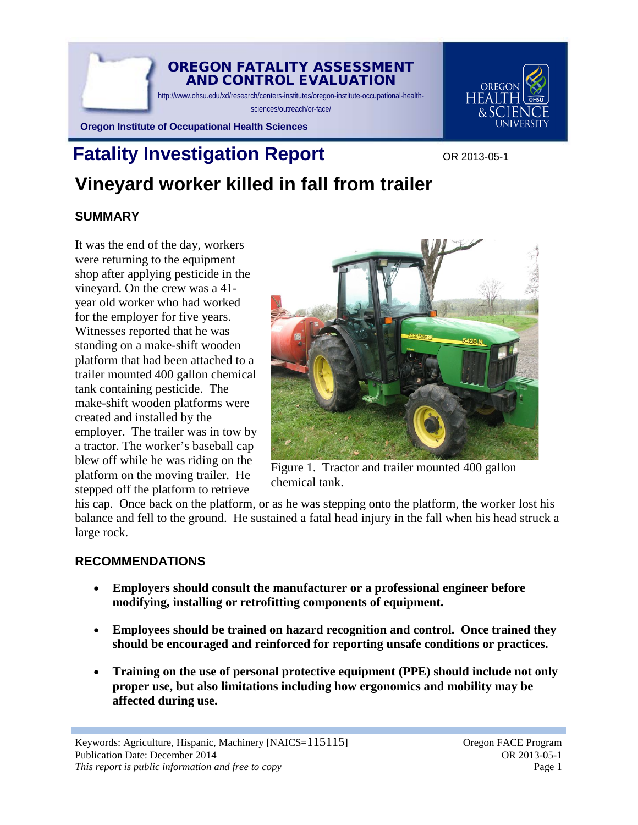

# OREGON FATALITY ASSESSMENT AND CONTROL EVALUATION

http://www.ohsu.edu/xd/research/centers-institutes/oregon-institute-occupational-health-

sciences/outreach/or-face/



#### **Oregon Institute of Occupational Health Sciences**

# **Vineyard worker killed in fall from trailer Fatality Investigation Report** OR 2013-05-1

# **SUMMARY**

It was the end of the day, workers were returning to the equipment shop after applying pesticide in the vineyard. On the crew was a 41 year old worker who had worked for the employer for five years. Witnesses reported that he was standing on a make-shift wooden platform that had been attached to a trailer mounted 400 gallon chemical tank containing pesticide. The make-shift wooden platforms were created and installed by the employer. The trailer was in tow by a tractor. The worker's baseball cap blew off while he was riding on the platform on the moving trailer. He stepped off the platform to retrieve



Figure 1. Tractor and trailer mounted 400 gallon chemical tank.

his cap. Once back on the platform, or as he was stepping onto the platform, the worker lost his balance and fell to the ground. He sustained a fatal head injury in the fall when his head struck a large rock.

#### **RECOMMENDATIONS**

- **Employers should consult the manufacturer or a professional engineer before modifying, installing or retrofitting components of equipment.**
- **Employees should be trained on hazard recognition and control. Once trained they should be encouraged and reinforced for reporting unsafe conditions or practices.**
- **Training on the use of personal protective equipment (PPE) should include not only proper use, but also limitations including how ergonomics and mobility may be affected during use.**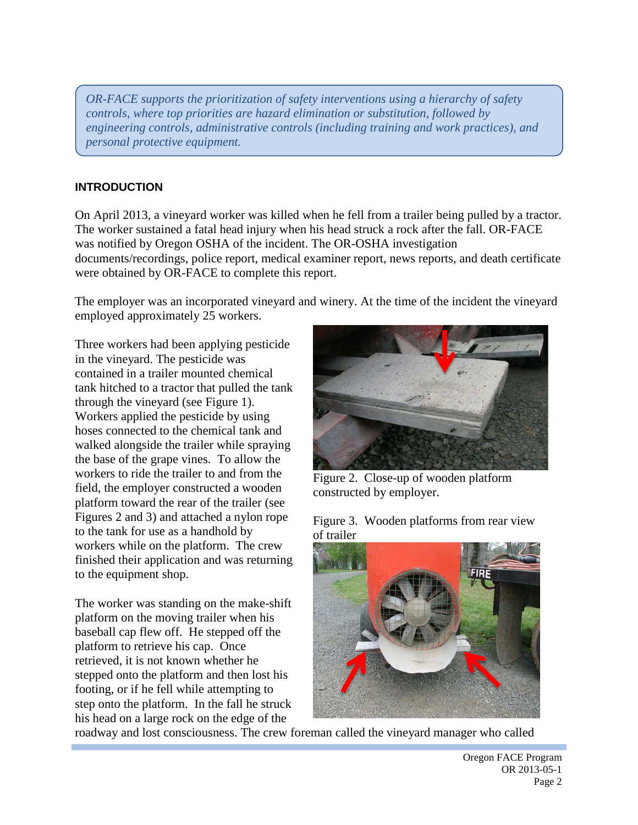*OR-FACE supports the prioritization of safety interventions using a hierarchy of safety controls, where top priorities are hazard elimination or substitution, followed by engineering controls, administrative controls (including training and work practices), and personal protective equipment.* 

#### **INTRODUCTION**

On April 2013, a vineyard worker was killed when he fell from a trailer being pulled by a tractor. The worker sustained a fatal head injury when his head struck a rock after the fall. OR-FACE was notified by Oregon OSHA of the incident. The OR-OSHA investigation documents/recordings, police report, medical examiner report, news reports, and death certificate were obtained by OR-FACE to complete this report.

The employer was an incorporated vineyard and winery. At the time of the incident the vineyard employed approximately 25 workers.

Three workers had been applying pesticide in the vineyard. The pesticide was contained in a trailer mounted chemical tank hitched to a tractor that pulled the tank through the vineyard (see Figure 1). Workers applied the pesticide by using hoses connected to the chemical tank and walked alongside the trailer while spraying the base of the grape vines. To allow the workers to ride the trailer to and from the field, the employer constructed a wooden platform toward the rear of the trailer (see Figures 2 and 3) and attached a nylon rope to the tank for use as a handhold by workers while on the platform. The crew finished their application and was returning to the equipment shop.

The worker was standing on the make-shift platform on the moving trailer when his baseball cap flew off. He stepped off the platform to retrieve his cap. Once retrieved, it is not known whether he stepped onto the platform and then lost his footing, or if he fell while attempting to step onto the platform. In the fall he struck his head on a large rock on the edge of the



Figure 2. Close-up of wooden platform constructed by employer.

Figure 3. Wooden platforms from rear view of trailer



roadway and lost consciousness. The crew foreman called the vineyard manager who called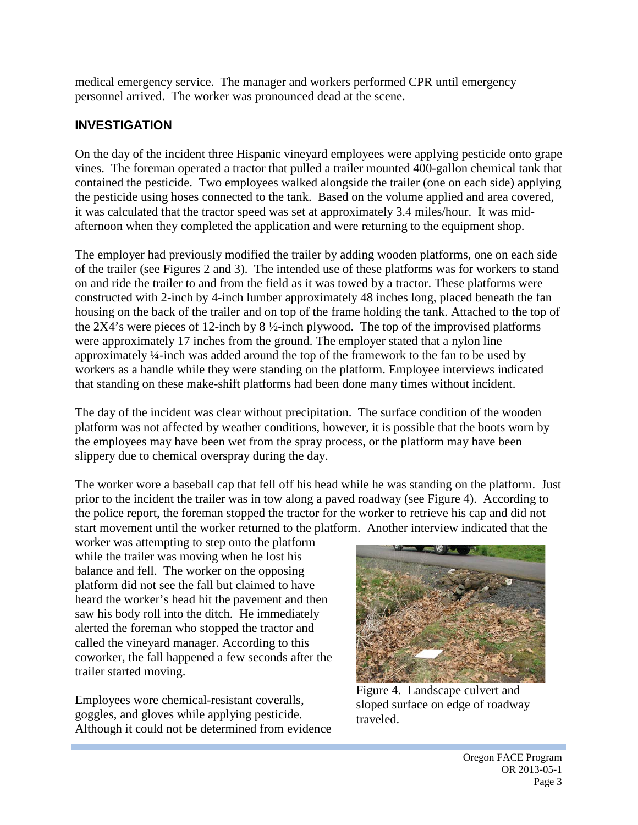medical emergency service. The manager and workers performed CPR until emergency personnel arrived. The worker was pronounced dead at the scene.

# **INVESTIGATION**

On the day of the incident three Hispanic vineyard employees were applying pesticide onto grape vines. The foreman operated a tractor that pulled a trailer mounted 400-gallon chemical tank that contained the pesticide. Two employees walked alongside the trailer (one on each side) applying the pesticide using hoses connected to the tank. Based on the volume applied and area covered, it was calculated that the tractor speed was set at approximately 3.4 miles/hour. It was midafternoon when they completed the application and were returning to the equipment shop.

The employer had previously modified the trailer by adding wooden platforms, one on each side of the trailer (see Figures 2 and 3). The intended use of these platforms was for workers to stand on and ride the trailer to and from the field as it was towed by a tractor. These platforms were constructed with 2-inch by 4-inch lumber approximately 48 inches long, placed beneath the fan housing on the back of the trailer and on top of the frame holding the tank. Attached to the top of the 2X4's were pieces of 12-inch by 8  $\frac{1}{2}$ -inch plywood. The top of the improvised platforms were approximately 17 inches from the ground. The employer stated that a nylon line approximately ¼-inch was added around the top of the framework to the fan to be used by workers as a handle while they were standing on the platform. Employee interviews indicated that standing on these make-shift platforms had been done many times without incident.

The day of the incident was clear without precipitation. The surface condition of the wooden platform was not affected by weather conditions, however, it is possible that the boots worn by the employees may have been wet from the spray process, or the platform may have been slippery due to chemical overspray during the day.

The worker wore a baseball cap that fell off his head while he was standing on the platform. Just prior to the incident the trailer was in tow along a paved roadway (see Figure 4). According to the police report, the foreman stopped the tractor for the worker to retrieve his cap and did not start movement until the worker returned to the platform. Another interview indicated that the

worker was attempting to step onto the platform while the trailer was moving when he lost his balance and fell. The worker on the opposing platform did not see the fall but claimed to have heard the worker's head hit the pavement and then saw his body roll into the ditch. He immediately alerted the foreman who stopped the tractor and called the vineyard manager. According to this coworker, the fall happened a few seconds after the trailer started moving.

Employees wore chemical-resistant coveralls, goggles, and gloves while applying pesticide. Although it could not be determined from evidence



Figure 4. Landscape culvert and sloped surface on edge of roadway traveled.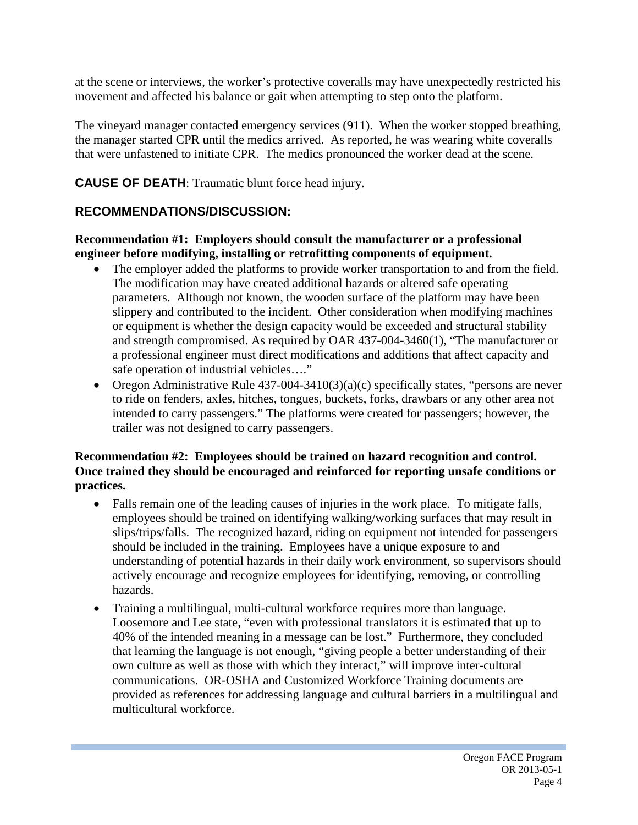at the scene or interviews, the worker's protective coveralls may have unexpectedly restricted his movement and affected his balance or gait when attempting to step onto the platform.

The vineyard manager contacted emergency services (911). When the worker stopped breathing, the manager started CPR until the medics arrived. As reported, he was wearing white coveralls that were unfastened to initiate CPR. The medics pronounced the worker dead at the scene.

**CAUSE OF DEATH**: Traumatic blunt force head injury.

# **RECOMMENDATIONS/DISCUSSION:**

# **Recommendation #1: Employers should consult the manufacturer or a professional engineer before modifying, installing or retrofitting components of equipment.**

- The employer added the platforms to provide worker transportation to and from the field. The modification may have created additional hazards or altered safe operating parameters. Although not known, the wooden surface of the platform may have been slippery and contributed to the incident. Other consideration when modifying machines or equipment is whether the design capacity would be exceeded and structural stability and strength compromised. As required by OAR 437-004-3460(1), "The manufacturer or a professional engineer must direct modifications and additions that affect capacity and safe operation of industrial vehicles…."
- Oregon Administrative Rule  $437-004-3410(3)(a)(c)$  specifically states, "persons are never to ride on fenders, axles, hitches, tongues, buckets, forks, drawbars or any other area not intended to carry passengers." The platforms were created for passengers; however, the trailer was not designed to carry passengers.

# **Recommendation #2: Employees should be trained on hazard recognition and control. Once trained they should be encouraged and reinforced for reporting unsafe conditions or practices.**

- Falls remain one of the leading causes of injuries in the work place. To mitigate falls, employees should be trained on identifying walking/working surfaces that may result in slips/trips/falls. The recognized hazard, riding on equipment not intended for passengers should be included in the training. Employees have a unique exposure to and understanding of potential hazards in their daily work environment, so supervisors should actively encourage and recognize employees for identifying, removing, or controlling hazards.
- Training a multilingual, multi-cultural workforce requires more than language. Loosemore and Lee state, "even with professional translators it is estimated that up to 40% of the intended meaning in a message can be lost." Furthermore, they concluded that learning the language is not enough, "giving people a better understanding of their own culture as well as those with which they interact," will improve inter-cultural communications. OR-OSHA and Customized Workforce Training documents are provided as references for addressing language and cultural barriers in a multilingual and multicultural workforce.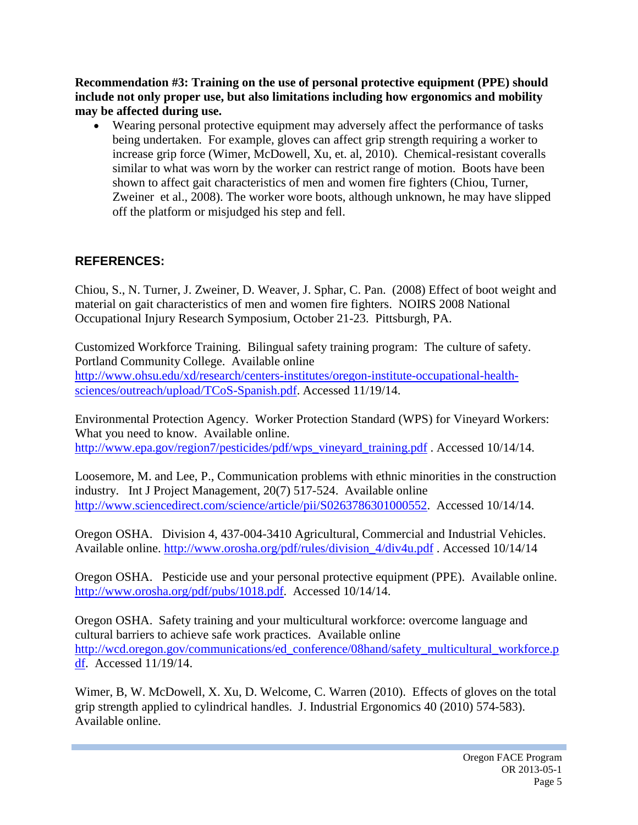**Recommendation #3: Training on the use of personal protective equipment (PPE) should include not only proper use, but also limitations including how ergonomics and mobility may be affected during use.** 

• Wearing personal protective equipment may adversely affect the performance of tasks being undertaken. For example, gloves can affect grip strength requiring a worker to increase grip force (Wimer, McDowell, Xu, et. al, 2010). Chemical-resistant coveralls similar to what was worn by the worker can restrict range of motion. Boots have been shown to affect gait characteristics of men and women fire fighters (Chiou, Turner, Zweiner et al., 2008). The worker wore boots, although unknown, he may have slipped off the platform or misjudged his step and fell.

# **REFERENCES:**

Chiou, S., N. Turner, J. Zweiner, D. Weaver, J. Sphar, C. Pan. (2008) Effect of boot weight and material on gait characteristics of men and women fire fighters. NOIRS 2008 National Occupational Injury Research Symposium, October 21-23. Pittsburgh, PA.

Customized Workforce Training. Bilingual safety training program: The culture of safety. Portland Community College. Available online [http://www.ohsu.edu/xd/research/centers-institutes/oregon-institute-occupational-health](http://www.ohsu.edu/xd/research/centers-institutes/oregon-institute-occupational-health-sciences/outreach/upload/TCoS-Spanish.pdf)[sciences/outreach/upload/TCoS-Spanish.pdf.](http://www.ohsu.edu/xd/research/centers-institutes/oregon-institute-occupational-health-sciences/outreach/upload/TCoS-Spanish.pdf) Accessed 11/19/14.

Environmental Protection Agency. Worker Protection Standard (WPS) for Vineyard Workers: What you need to know. Available online. [http://www.epa.gov/region7/pesticides/pdf/wps\\_vineyard\\_training.pdf](http://www.epa.gov/region7/pesticides/pdf/wps_vineyard_training.pdf) . Accessed 10/14/14.

Loosemore, M. and Lee, P., Communication problems with ethnic minorities in the construction industry. Int J Project Management, 20(7) 517-524. Available online [http://www.sciencedirect.com/science/article/pii/S0263786301000552.](http://www.sciencedirect.com/science/article/pii/S0263786301000552) Accessed 10/14/14.

Oregon OSHA. Division 4, 437-004-3410 Agricultural, Commercial and Industrial Vehicles. Available online. [http://www.orosha.org/pdf/rules/division\\_4/div4u.pdf](http://www.orosha.org/pdf/rules/division_4/div4u.pdf) . Accessed 10/14/14

Oregon OSHA. Pesticide use and your personal protective equipment (PPE). Available online. [http://www.orosha.org/pdf/pubs/1018.pdf.](http://www.orosha.org/pdf/pubs/1018.pdf) Accessed 10/14/14.

Oregon OSHA. Safety training and your multicultural workforce: overcome language and cultural barriers to achieve safe work practices. Available online [http://wcd.oregon.gov/communications/ed\\_conference/08hand/safety\\_multicultural\\_workforce.p](http://wcd.oregon.gov/communications/ed_conference/08hand/safety_multicultural_workforce.pdf) [df.](http://wcd.oregon.gov/communications/ed_conference/08hand/safety_multicultural_workforce.pdf) Accessed 11/19/14.

Wimer, B, W. McDowell, X. Xu, D. Welcome, C. Warren (2010). Effects of gloves on the total grip strength applied to cylindrical handles. J. Industrial Ergonomics 40 (2010) 574-583). Available online.